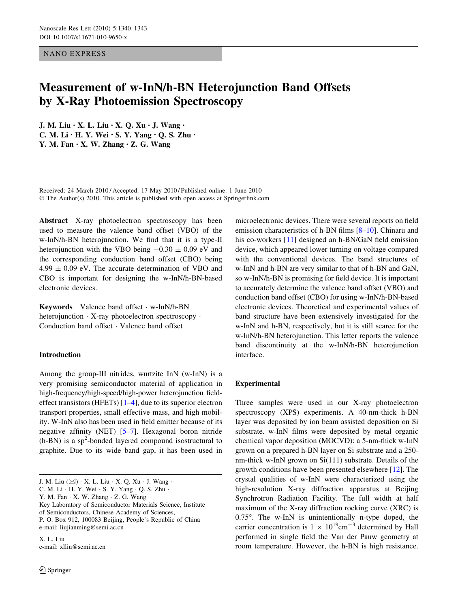NANO EXPRESS

# Measurement of w-InN/h-BN Heterojunction Band Offsets by X-Ray Photoemission Spectroscopy

J. M. Liu • X. L. Liu • X. Q. Xu • J. Wang • C. M. Li • H. Y. Wei • S. Y. Yang • Q. S. Zhu • Y. M. Fan • X. W. Zhang • Z. G. Wang

Received: 24 March 2010 / Accepted: 17 May 2010 / Published online: 1 June 2010 © The Author(s) 2010. This article is published with open access at Springerlink.com

Abstract X-ray photoelectron spectroscopy has been used to measure the valence band offset (VBO) of the w-InN/h-BN heterojunction. We find that it is a type-II heterojunction with the VBO being  $-0.30 \pm 0.09$  eV and the corresponding conduction band offset (CBO) being  $4.99 \pm 0.09$  eV. The accurate determination of VBO and CBO is important for designing the w-InN/h-BN-based electronic devices.

Keywords Valence band offset - w-InN/h-BN heterojunction - X-ray photoelectron spectroscopy - Conduction band offset - Valence band offset

### Introduction

Among the group-III nitrides, wurtzite InN (w-InN) is a very promising semiconductor material of application in high-frequency/high-speed/high-power heterojunction fieldeffect transistors (HFETs) [\[1–4](#page-3-0)], due to its superior electron transport properties, small effective mass, and high mobility. W-InN also has been used in field emitter because of its negative affinity (NET) [\[5–7](#page-3-0)]. Hexagonal boron nitride  $(h-BN)$  is a sp<sup>2</sup>-bonded layered compound isostructural to graphite. Due to its wide band gap, it has been used in

C. M. Li - H. Y. Wei - S. Y. Yang - Q. S. Zhu -

Key Laboratory of Semiconductor Materials Science, Institute

of Semiconductors, Chinese Academy of Sciences,

P. O. Box 912, 100083 Beijing, People's Republic of China e-mail: liujianming@semi.ac.cn

X. L. Liu e-mail: xlliu@semi.ac.cn

microelectronic devices. There were several reports on field emission characteristics of h-BN films [\[8–10](#page-3-0)]. Chinaru and his co-workers [[11\]](#page-3-0) designed an h-BN/GaN field emission device, which appeared lower turning on voltage compared with the conventional devices. The band structures of w-InN and h-BN are very similar to that of h-BN and GaN, so w-InN/h-BN is promising for field device. It is important to accurately determine the valence band offset (VBO) and conduction band offset (CBO) for using w-InN/h-BN-based electronic devices. Theoretical and experimental values of band structure have been extensively investigated for the w-InN and h-BN, respectively, but it is still scarce for the w-InN/h-BN heterojunction. This letter reports the valence band discontinuity at the w-InN/h-BN heterojunction interface.

## Experimental

Three samples were used in our X-ray photoelectron spectroscopy (XPS) experiments. A 40-nm-thick h-BN layer was deposited by ion beam assisted deposition on Si substrate. w-InN films were deposited by metal organic chemical vapor deposition (MOCVD): a 5-nm-thick w-InN grown on a prepared h-BN layer on Si substrate and a 250 nm-thick w-InN grown on Si(111) substrate. Details of the growth conditions have been presented elsewhere [\[12](#page-3-0)]. The crystal qualities of w-InN were characterized using the high-resolution X-ray diffraction apparatus at Beijing Synchrotron Radiation Facility. The full width at half maximum of the X-ray diffraction rocking curve (XRC) is  $0.75^{\circ}$ . The w-InN is unintentionally n-type doped, the carrier concentration is  $1 \times 10^{19}$ cm<sup>-3</sup> determined by Hall performed in single field the Van der Pauw geometry at room temperature. However, the h-BN is high resistance.

J. M. Liu (&) - X. L. Liu - X. Q. Xu - J. Wang -

Y. M. Fan · X. W. Zhang · Z. G. Wang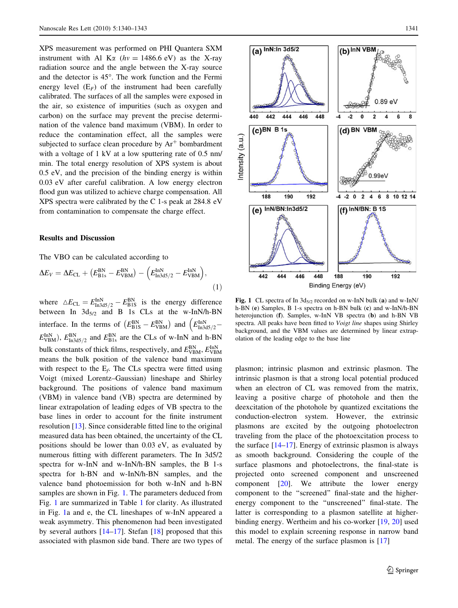<span id="page-1-0"></span>XPS measurement was performed on PHI Quantera SXM instrument with Al K $\alpha$  (hv = 1486.6 eV) as the X-ray radiation source and the angle between the X-ray source and the detector is  $45^\circ$ . The work function and the Fermi energy level  $(E_F)$  of the instrument had been carefully calibrated. The surfaces of all the samples were exposed in the air, so existence of impurities (such as oxygen and carbon) on the surface may prevent the precise determination of the valence band maximum (VBM). In order to reduce the contamination effect, all the samples were subjected to surface clean procedure by  $Ar<sup>+</sup>$  bombardment with a voltage of 1 kV at a low sputtering rate of 0.5 nm/ min. The total energy resolution of XPS system is about 0.5 eV, and the precision of the binding energy is within 0.03 eV after careful calibration. A low energy electron flood gun was utilized to achieve charge compensation. All XPS spectra were calibrated by the C 1-s peak at 284.8 eV from contamination to compensate the charge effect.

#### Results and Discussion

The VBO can be calculated according to

$$
\Delta E_V = \Delta E_{\rm CL} + \left(E_{\rm B1s}^{\rm BN} - E_{\rm VBM}^{\rm BN}\right) - \left(E_{\rm In3d5/2}^{\rm InN} - E_{\rm VBM}^{\rm InN}\right),\tag{1}
$$

where  $\Delta E_{\text{CL}} = E_{\text{In}3d5/2}^{\text{In}N} - E_{\text{B1S}}^{\text{BN}}$  is the energy difference between In  $3d_{5/2}$  and B 1s CLs at the w-InN/h-BN interface. In the terms of  $(E_{\rm B1S}^{\rm BN} - E_{\rm VBM}^{\rm BN})$  and  $(E_{\rm In3d5/2}^{\rm InN} \overline{\phantom{a}}$  $E_{\text{VBM}}^{\text{InN}}$ ,  $E_{\text{In3d5}/2}^{\text{BN}}$  and  $E_{\text{B1s}}^{\text{BN}}$  are the CLs of w-InN and h-BN bulk constants of thick films, respectively, and  $E_{\mathrm{VBM}}^{\mathrm{BN}}, E_{\mathrm{VBM}}^{\mathrm{InN}}$ means the bulk position of the valence band maximum with respect to the  $E_f$ . The CLs spectra were fitted using Voigt (mixed Lorentz–Gaussian) lineshape and Shirley background. The positions of valence band maximum (VBM) in valence band (VB) spectra are determined by linear extrapolation of leading edges of VB spectra to the base lines in order to account for the finite instrument resolution [[13\]](#page-3-0). Since considerable fitted line to the original measured data has been obtained, the uncertainty of the CL positions should be lower than 0.03 eV, as evaluated by numerous fitting with different parameters. The In 3d5/2 spectra for w-InN and w-InN/h-BN samples, the B 1-s spectra for h-BN and w-InN/h-BN samples, and the valence band photoemission for both w-InN and h-BN samples are shown in Fig. 1. The parameters deduced from Fig. 1 are summarized in Table [1](#page-2-0) for clarity. As illustrated in Fig. 1a and e, the CL lineshapes of w-InN appeared a weak asymmetry. This phenomenon had been investigated by several authors [[14–17\]](#page-3-0). Stefan [\[18](#page-3-0)] proposed that this associated with plasmon side band. There are two types of



Fig. 1 CL spectra of In  $3d_{5/2}$  recorded on w-InN bulk (a) and w-InN/ h-BN (e) Samples, B 1-s spectra on h-BN bulk (c) and w-InN/h-BN heterojunction (f). Samples, w-InN VB spectra (b) and h-BN VB spectra. All peaks have been fitted to Voigt line shapes using Shirley background, and the VBM values are determined by linear extrapolation of the leading edge to the base line

plasmon; intrinsic plasmon and extrinsic plasmon. The intrinsic plasmon is that a strong local potential produced when an electron of CL was removed from the matrix, leaving a positive charge of photohole and then the deexcitation of the photohole by quantized excitations the conduction-electron system. However, the extrinsic plasmons are excited by the outgoing photoelectron traveling from the place of the photoexcitation process to the surface  $[14-17]$ . Energy of extrinsic plasmon is always as smooth background. Considering the couple of the surface plasmons and photoelectrons, the final-state is projected onto screened component and unscreened component [[20\]](#page-3-0). We attribute the lower energy component to the ''screened'' final-state and the higherenergy component to the ''unscreened'' final-state. The latter is corresponding to a plasmon satellite at higherbinding energy. Wertheim and his co-worker [\[19](#page-3-0), [20\]](#page-3-0) used this model to explain screening response in narrow band metal. The energy of the surface plasmon is [[17\]](#page-3-0)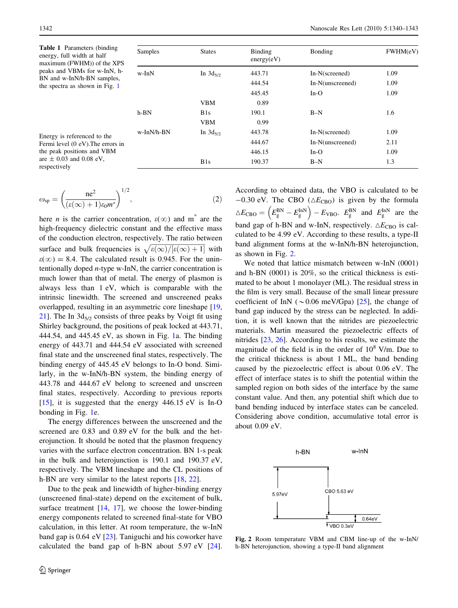<span id="page-2-0"></span>Table 1 Parameters (binding energy, full width at half maximum (FWHM)) of the XPS peaks and VBMs for w-InN, h-BN and w-InN/h-BN samples, the spectra as shown in Fig. [1](#page-1-0)

| Samples    | <b>States</b> | Binding<br>energy(eV) | Bonding          | FWHM(eV) |
|------------|---------------|-----------------------|------------------|----------|
| w-InN      | In $3d_{5/2}$ | 443.71                | In-N(screened)   | 1.09     |
|            |               | 444.54                | In-N(unscreened) | 1.09     |
|            |               | 445.45                | $In-O$           | 1.09     |
|            | <b>VBM</b>    | 0.89                  |                  |          |
| $h-BN$     | B1s           | 190.1                 | $B-N$            | 1.6      |
|            | <b>VBM</b>    | 0.99                  |                  |          |
| w-InN/h-BN | In $3d_{5/2}$ | 443.78                | In-N(screened)   | 1.09     |
|            |               | 444.67                | In-N(unscreened) | 2.11     |
|            |               | 446.15                | $In-O$           | 1.09     |
|            | B1s           | 190.37                | $B-N$            | 1.3      |

Energy is referenced to the Fermi level (0 eV).The errors in the peak positions and VBM are  $\pm$  0.03 and 0.08 eV, respectively

$$
\omega_{sp} = \left(\frac{ne^2}{(\varepsilon(\infty) + 1)\varepsilon_0 m^*}\right)^{1/2},\tag{2}
$$

here *n* is the carrier concentration,  $\varepsilon(\infty)$  and m<sup>\*</sup> are the high-frequency dielectric constant and the effective mass of the conduction electron, respectively. The ratio between surface and bulk frequencies is  $\sqrt{\frac{\varepsilon(\infty)}{[\varepsilon(\infty)+1]}}$  with  $\varepsilon(\infty) = 8.4$ . The calculated result is 0.945. For the unintentionally doped n-type w-InN, the carrier concentration is much lower than that of metal. The energy of plasmon is always less than 1 eV, which is comparable with the intrinsic linewidth. The screened and unscreened peaks overlapped, resulting in an asymmetric core lineshape [[19,](#page-3-0) [21](#page-3-0)]. The In  $3d_{5/2}$  consists of three peaks by Voigt fit using Shirley background, the positions of peak locked at 443.71, 444.54, and 445.45 eV, as shown in Fig. [1a](#page-1-0). The binding energy of 443.71 and 444.54 eV associated with screened final state and the unscreened final states, respectively. The binding energy of 445.45 eV belongs to In-O bond. Similarly, in the w-InN/h-BN system, the binding energy of 443.78 and 444.67 eV belong to screened and unscreen final states, respectively. According to previous reports [\[15](#page-3-0)], it is suggested that the energy  $446.15 \text{ eV}$  is In-O bonding in Fig. [1](#page-1-0)e.

The energy differences between the unscreened and the screened are 0.83 and 0.89 eV for the bulk and the heterojunction. It should be noted that the plasmon frequency varies with the surface electron concentration. BN 1-s peak in the bulk and heterojunction is 190.1 and 190.37 eV, respectively. The VBM lineshape and the CL positions of h-BN are very similar to the latest reports [\[18,](#page-3-0) [22\]](#page-3-0).

Due to the peak and linewidth of higher-binding energy (unscreened final-state) depend on the excitement of bulk, surface treatment  $[14, 17]$  $[14, 17]$  $[14, 17]$  $[14, 17]$ , we choose the lower-binding energy components related to screened final-state for VBO calculation, in this letter. At room temperature, the w-InN band gap is 0.64 eV [\[23](#page-3-0)]. Taniguchi and his coworker have calculated the band gap of h-BN about  $5.97 \text{ eV}$  [\[24](#page-3-0)]. According to obtained data, the VBO is calculated to be  $-0.30$  eV. The CBO ( $\triangle E_{\text{CBO}}$ ) is given by the formula  $\triangle E_{\text{CBO}} = (E_{\text{g}}^{\text{BN}} - E_{\text{g}}^{\text{INN}}) - E_{\text{VBO}}.$   $E_{\text{g}}^{\text{BN}}$  and  $E_{\text{g}}^{\text{IN}}$  are the band gap of h-BN and w-InN, respectively.  $\triangle E_{\text{CBO}}$  is calculated to be 4.99 eV. According to these results, a type-II band alignment forms at the w-InN/h-BN heterojunction, as shown in Fig. 2.

We noted that lattice mismatch between w-InN (0001) and h-BN (0001) is 20%, so the critical thickness is estimated to be about 1 monolayer (ML). The residual stress in the film is very small. Because of the small linear pressure coefficient of InN ( $\sim$ 0.06 meV/Gpa) [[25\]](#page-3-0), the change of band gap induced by the stress can be neglected. In addition, it is well known that the nitrides are piezoelectric materials. Martin measured the piezoelectric effects of nitrides [[23,](#page-3-0) [26](#page-3-0)]. According to his results, we estimate the magnitude of the field is in the order of  $10^8$  V/m. Due to the critical thickness is about 1 ML, the band bending caused by the piezoelectric effect is about 0.06 eV. The effect of interface states is to shift the potential within the sampled region on both sides of the interface by the same constant value. And then, any potential shift which due to band bending induced by interface states can be canceled. Considering above condition, accumulative total error is about 0.09 eV.



Fig. 2 Room temperature VBM and CBM line-up of the w-InN/ h-BN heterojunction, showing a type-II band alignment